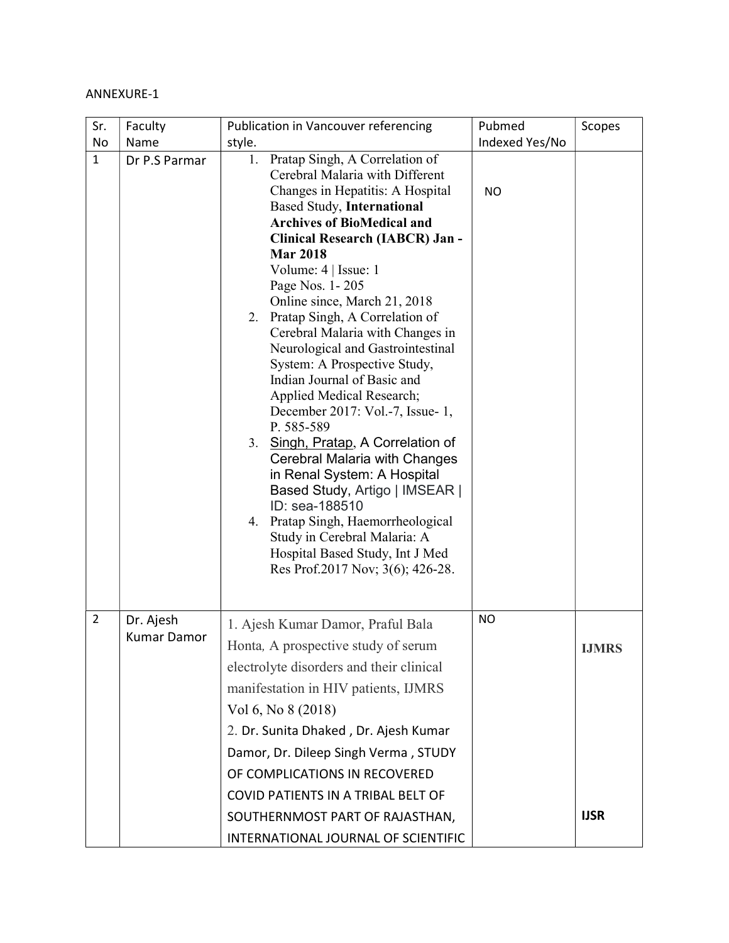## ANNEXURE-1

| Sr.            | Faculty                         | Publication in Vancouver referencing                                                                                                                                                                                                                                                                                                                                                                                                                                                                                                                                                                                                                                                                                                                                                                                                                                                            | Pubmed         | Scopes       |
|----------------|---------------------------------|-------------------------------------------------------------------------------------------------------------------------------------------------------------------------------------------------------------------------------------------------------------------------------------------------------------------------------------------------------------------------------------------------------------------------------------------------------------------------------------------------------------------------------------------------------------------------------------------------------------------------------------------------------------------------------------------------------------------------------------------------------------------------------------------------------------------------------------------------------------------------------------------------|----------------|--------------|
| No             | Name                            | style.                                                                                                                                                                                                                                                                                                                                                                                                                                                                                                                                                                                                                                                                                                                                                                                                                                                                                          | Indexed Yes/No |              |
| $\mathbf{1}$   | Dr P.S Parmar                   | Pratap Singh, A Correlation of<br>1.<br>Cerebral Malaria with Different<br>Changes in Hepatitis: A Hospital<br><b>Based Study, International</b><br><b>Archives of BioMedical and</b><br>Clinical Research (IABCR) Jan -<br><b>Mar 2018</b><br>Volume: 4   Issue: 1<br>Page Nos. 1-205<br>Online since, March 21, 2018<br>Pratap Singh, A Correlation of<br>2.<br>Cerebral Malaria with Changes in<br>Neurological and Gastrointestinal<br>System: A Prospective Study,<br>Indian Journal of Basic and<br>Applied Medical Research;<br>December 2017: Vol.-7, Issue- 1,<br>P. 585-589<br>3. Singh, Pratap, A Correlation of<br>Cerebral Malaria with Changes<br>in Renal System: A Hospital<br>Based Study, Artigo   IMSEAR  <br>ID: sea-188510<br>Pratap Singh, Haemorrheological<br>4.<br>Study in Cerebral Malaria: A<br>Hospital Based Study, Int J Med<br>Res Prof.2017 Nov; 3(6); 426-28. | <b>NO</b>      |              |
| $\overline{2}$ | Dr. Ajesh<br><b>Kumar Damor</b> | 1. Ajesh Kumar Damor, Praful Bala                                                                                                                                                                                                                                                                                                                                                                                                                                                                                                                                                                                                                                                                                                                                                                                                                                                               | <b>NO</b>      |              |
|                |                                 | Honta, A prospective study of serum                                                                                                                                                                                                                                                                                                                                                                                                                                                                                                                                                                                                                                                                                                                                                                                                                                                             |                | <b>IJMRS</b> |
|                |                                 | electrolyte disorders and their clinical                                                                                                                                                                                                                                                                                                                                                                                                                                                                                                                                                                                                                                                                                                                                                                                                                                                        |                |              |
|                |                                 | manifestation in HIV patients, IJMRS                                                                                                                                                                                                                                                                                                                                                                                                                                                                                                                                                                                                                                                                                                                                                                                                                                                            |                |              |
|                |                                 | Vol 6, No 8 (2018)                                                                                                                                                                                                                                                                                                                                                                                                                                                                                                                                                                                                                                                                                                                                                                                                                                                                              |                |              |
|                |                                 | 2. Dr. Sunita Dhaked, Dr. Ajesh Kumar                                                                                                                                                                                                                                                                                                                                                                                                                                                                                                                                                                                                                                                                                                                                                                                                                                                           |                |              |
|                |                                 | Damor, Dr. Dileep Singh Verma, STUDY                                                                                                                                                                                                                                                                                                                                                                                                                                                                                                                                                                                                                                                                                                                                                                                                                                                            |                |              |
|                |                                 | OF COMPLICATIONS IN RECOVERED                                                                                                                                                                                                                                                                                                                                                                                                                                                                                                                                                                                                                                                                                                                                                                                                                                                                   |                |              |
|                |                                 | COVID PATIENTS IN A TRIBAL BELT OF                                                                                                                                                                                                                                                                                                                                                                                                                                                                                                                                                                                                                                                                                                                                                                                                                                                              |                |              |
|                |                                 | SOUTHERNMOST PART OF RAJASTHAN,                                                                                                                                                                                                                                                                                                                                                                                                                                                                                                                                                                                                                                                                                                                                                                                                                                                                 |                | <b>IJSR</b>  |
|                |                                 | INTERNATIONAL JOURNAL OF SCIENTIFIC                                                                                                                                                                                                                                                                                                                                                                                                                                                                                                                                                                                                                                                                                                                                                                                                                                                             |                |              |